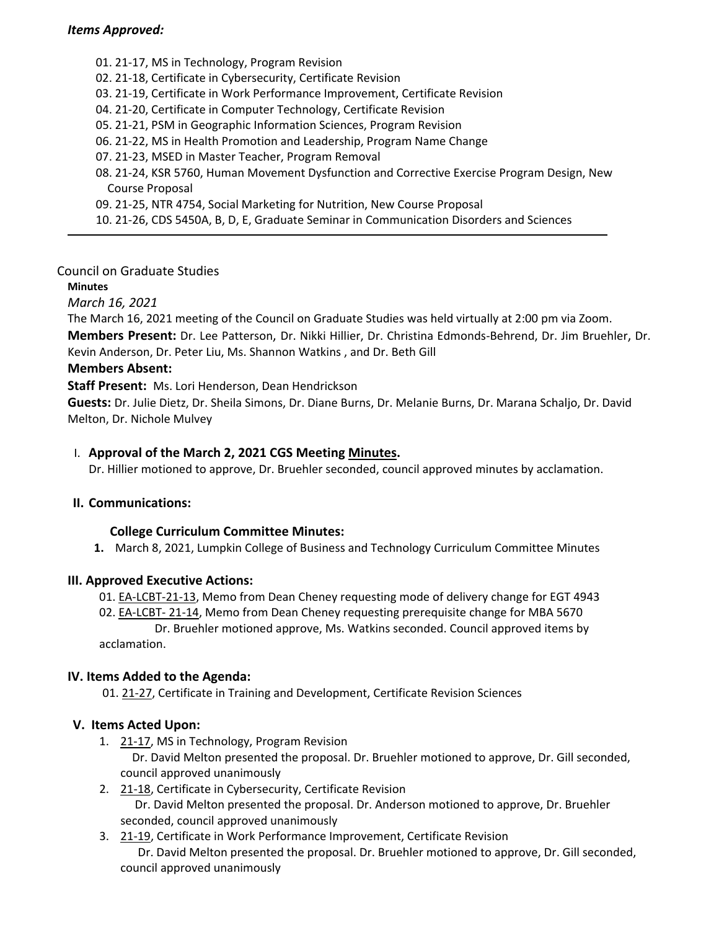### *Items Approved:*

01. [21](https://castle.eiu.edu/eiucgs/currentagendaitems/agenda21-17.pdf)‐17, MS in Technology, Program Revision 02. 21‐[18,](https://castle.eiu.edu/eiucgs/currentagendaitems/agenda21-18.pdf) Certificate in Cybersecurity, Certificate Revision 03. 21‐[19,](https://castle.eiu.edu/eiucgs/currentagendaitems/agenda21-19.pdf) Certificate in Work Performance Improvement, Certificate Revision 04. 21-[20,](https://castle.eiu.edu/eiucgs/currentagendaitems/agenda21-20.pdf) Certificate in Computer Technology, Certificate Revision 05. [21](https://castle.eiu.edu/eiucgs/currentagendaitems/agenda21-21.pdf)‐21, PSM in Geographic Information Sciences, Program Revision 06. [21](https://castle.eiu.edu/eiucgs/currentagendaitems/agenda21-22.pdf)‐22, MS in Health Promotion and Leadership, Program Name Change 07. [21](https://castle.eiu.edu/eiucgs/currentagendaitems/agenda21-23.pdf)‐23, MSED in Master Teacher, Program Removal 08. 21‐[24,](https://castle.eiu.edu/eiucgs/currentagendaitems/agenda21-24.pdf) KSR 5760, Human Movement Dysfunction and Corrective Exercise Program Design, New Course Proposal 09. 21‐[25,](https://castle.eiu.edu/eiucgs/currentagendaitems/agenda21-25.pdf) NTR 4754, Social Marketing for Nutrition, New Course Proposal 10. 21‐[26,](https://castle.eiu.edu/eiucgs/currentagendaitems/agenda21-26.pdf) CDS 5450A, B, D, E, Graduate Seminar in Communication Disorders and Sciences

### Council on Graduate Studies

#### **Minutes**

*March 16, 2021*

The March 16, 2021 meeting of the Council on Graduate Studies was held virtually at 2:00 pm via Zoom. **Members Present:** Dr. Lee Patterson, Dr. Nikki Hillier, Dr. Christina Edmonds‐Behrend, Dr. Jim Bruehler, Dr. Kevin Anderson, Dr. Peter Liu, Ms. Shannon Watkins , and Dr. Beth Gill

### **Members Absent:**

**Staff Present:** Ms. Lori Henderson, Dean Hendrickson

**Guests:** Dr. Julie Dietz, Dr. Sheila Simons, Dr. Diane Burns, Dr. Melanie Burns, Dr. Marana Schaljo, Dr. David Melton, Dr. Nichole Mulvey

### I. **Approval of the March 2, 2021 CGS Meeting [Minutes.](https://castle.eiu.edu/~eiucgs/currentminutes/Minutes3-2-21.pdf)**

Dr. Hillier motioned to approve, Dr. Bruehler seconded, council approved minutes by acclamation.

#### **II. Communications:**

#### **College Curriculum Committee Minutes:**

**1.** March 8, 2021, Lumpkin College of Business and Technology Curriculum Committee Minutes

#### **III. Approved Executive Actions:**

01. EA‐[LCBT](https://castle.eiu.edu/eiucgs/exec-actions/EA-LCBT-21-13.pdf)‐21‐13, Memo from Dean Cheney requesting mode of delivery change for EGT 4943

02. EA‐[LCBT](https://castle.eiu.edu/eiucgs/exec-actions/EA-LCBT-21-14.pdf)‐ 21‐14, Memo from Dean Cheney requesting prerequisite change for MBA 5670 Dr. Bruehler motioned approve, Ms. Watkins seconded. Council approved items by acclamation.

#### **IV. Items Added to the Agenda:**

01. 21‐[27,](https://castle.eiu.edu/eiucgs/currentagendaitems/agenda21-27.pdf) Certificate in Training and Development, Certificate Revision Sciences

## **V. Items Acted Upon:**

1. 21-[17,](https://castle.eiu.edu/eiucgs/currentagendaitems/agenda21-17.pdf) MS in Technology, Program Revision

Dr. David Melton presented the proposal. Dr. Bruehler motioned to approve, Dr. Gill seconded, council approved unanimously

- 2. 21‐[18,](https://castle.eiu.edu/eiucgs/currentagendaitems/agenda21-18.pdf) Certificate in Cybersecurity, Certificate Revision Dr. David Melton presented the proposal. Dr. Anderson motioned to approve, Dr. Bruehler seconded, council approved unanimously
- 3. 21‐[19,](https://castle.eiu.edu/eiucgs/currentagendaitems/agenda21-19.pdf) Certificate in Work Performance Improvement, Certificate Revision Dr. David Melton presented the proposal. Dr. Bruehler motioned to approve, Dr. Gill seconded, council approved unanimously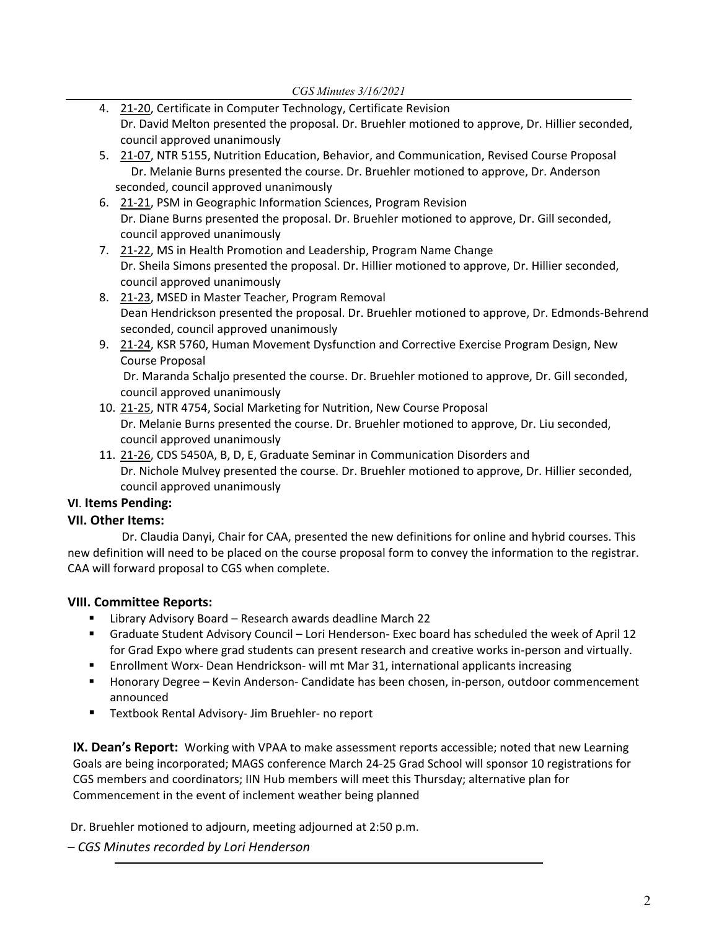- 4. 21-[20,](https://castle.eiu.edu/eiucgs/currentagendaitems/agenda21-20.pdf) Certificate in Computer Technology, Certificate Revision Dr. David Melton presented the proposal. Dr. Bruehler motioned to approve, Dr. Hillier seconded, council approved unanimously
- 5. 21-[07,](https://castle.eiu.edu/eiucgs/currentagendaitems/agenda21-07.pdf) NTR 5155, Nutrition Education, Behavior, and Communication, Revised Course Proposal Dr. Melanie Burns presented the course. Dr. Bruehler motioned to approve, Dr. Anderson seconded, council approved unanimously
- 6. 21‐[21](https://castle.eiu.edu/eiucgs/currentagendaitems/agenda21-21.pdf), PSM in Geographic Information Sciences, Program Revision Dr. Diane Burns presented the proposal. Dr. Bruehler motioned to approve, Dr. Gill seconded, council approved unanimously
- 7. 21-[22](https://castle.eiu.edu/eiucgs/currentagendaitems/agenda21-22.pdf), MS in Health Promotion and Leadership, Program Name Change Dr. Sheila Simons presented the proposal. Dr. Hillier motioned to approve, Dr. Hillier seconded, council approved unanimously
- 8. 21‐[23](https://castle.eiu.edu/eiucgs/currentagendaitems/agenda21-23.pdf), MSED in Master Teacher, Program Removal Dean Hendrickson presented the proposal. Dr. Bruehler motioned to approve, Dr. Edmonds‐Behrend seconded, council approved unanimously
- 9. [21](https://castle.eiu.edu/eiucgs/currentagendaitems/agenda21-24.pdf)-24, KSR 5760, Human Movement Dysfunction and Corrective Exercise Program Design, New Course Proposal

Dr. Maranda Schaljo presented the course. Dr. Bruehler motioned to approve, Dr. Gill seconded, council approved unanimously

- 10. 21‐[25,](https://castle.eiu.edu/eiucgs/currentagendaitems/agenda21-25.pdf) NTR 4754, Social Marketing for Nutrition, New Course Proposal Dr. Melanie Burns presented the course. Dr. Bruehler motioned to approve, Dr. Liu seconded, council approved unanimously
- 11. 21-[26,](https://castle.eiu.edu/eiucgs/currentagendaitems/agenda21-26.pdf) CDS 5450A, B, D, E, Graduate Seminar in Communication Disorders and Dr. Nichole Mulvey presented the course. Dr. Bruehler motioned to approve, Dr. Hillier seconded, council approved unanimously

# **VI**. **Items Pending:**

# **VII. Other Items:**

 Dr. Claudia Danyi, Chair for CAA, presented the new definitions for online and hybrid courses. This new definition will need to be placed on the course proposal form to convey the information to the registrar. CAA will forward proposal to CGS when complete.

# **VIII. Committee Reports:**

- **E** Library Advisory Board Research awards deadline March 22
- Graduate Student Advisory Council Lori Henderson- Exec board has scheduled the week of April 12 for Grad Expo where grad students can present research and creative works in‐person and virtually.
- Enrollment Worx-Dean Hendrickson- will mt Mar 31, international applicants increasing
- Honorary Degree Kevin Anderson- Candidate has been chosen, in-person, outdoor commencement announced
- Textbook Rental Advisory- Jim Bruehler- no report

**IX. Dean's Report:** Working with VPAA to make assessment reports accessible; noted that new Learning Goals are being incorporated; MAGS conference March 24‐25 Grad School will sponsor 10 registrations for CGS members and coordinators; IIN Hub members will meet this Thursday; alternative plan for Commencement in the event of inclement weather being planned

Dr. Bruehler motioned to adjourn, meeting adjourned at 2:50 p.m.

# *– CGS Minutes recorded by Lori Henderson*